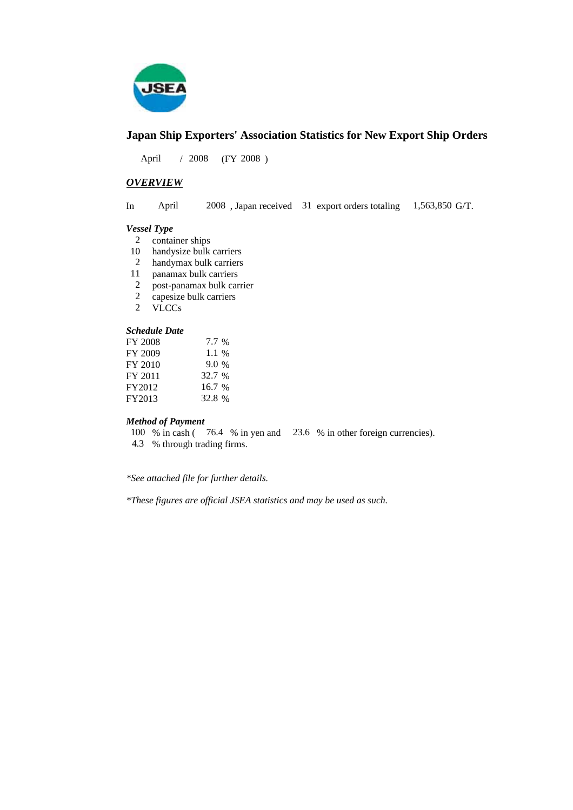

### **Japan Ship Exporters' Association Statistics for New Export Ship Orders**

 $/ 2008$  (FY 2008) April 2008

#### *OVERVIEW*

In April 2008, Japan received 31 export orders totaling 1,563,850 G/T. April 1,563,850 G/T.

#### *Vessel Type*

- 2 container ships
- 10 handysize bulk carriers
- handymax bulk carriers 2
- panamax bulk carriers 11
- post-panamax bulk carrier 2
- capesize bulk carriers 2
- VLCCs 2

#### *Schedule Date*

| FY 2008 | 7.7 %  |
|---------|--------|
| FY 2009 | 1.1 %  |
| FY 2010 | 9.0%   |
| FY 2011 | 32.7 % |
| FY2012  | 16.7%  |
| FY2013  | 32.8 % |

#### *Method of Payment*

100 % in cash (76.4 % in yen and 23.6 % in other foreign currencies). % through trading firms. 4.3

*\*See attached file for further details.*

*\*These figures are official JSEA statistics and may be used as such.*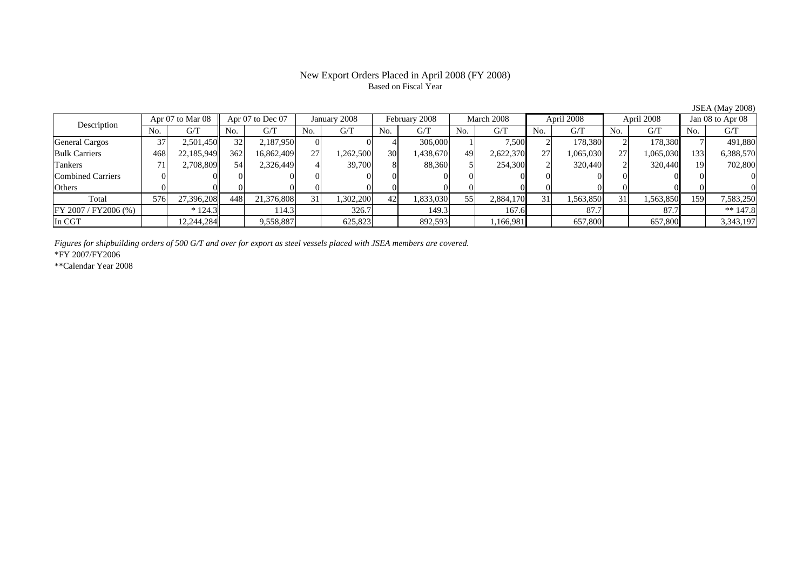#### New Export Orders Placed in April 2008 (FY 2008) Based on Fiscal Year

JSEA (May 2008)

| Description               | Apr 07 to Mar 08 |            | Apr 07 to Dec 07 |            | January 2008    |          | February 2008   |           | March 2008 |           | April 2008     |           | April 2008 |           | Jan 08 to Apr 08 |            |
|---------------------------|------------------|------------|------------------|------------|-----------------|----------|-----------------|-----------|------------|-----------|----------------|-----------|------------|-----------|------------------|------------|
|                           | No.              | G/T        | No.              | G/T        | N <sub>O</sub>  | G/T      | No.             | G/T       | No.        | G/T       | N <sub>0</sub> | G/T       | No.        | G/T       | No.              | G/T        |
| <b>General Cargos</b>     | 37               | 2,501,450  | 32 <sub>l</sub>  | 2,187,950  |                 |          |                 | 306,000   |            | 7,500     |                | 178,380   |            | 178,380   |                  | 491,880    |
| <b>Bulk Carriers</b>      | 468              | 22,185,949 | 362              | 16,862,409 | 27              | ,262,500 | 30 <sub>1</sub> | 1,438,670 | 49         | 2,622,370 | 27.            | 1,065,030 | 271        | 1,065,030 | 133              | 6,388,570  |
| Tankers                   |                  | 2,708,809  | 54               | 2,326,449  |                 | 39,700   |                 | 88,360    |            | 254,300   |                | 320,440   |            | 320,440   |                  | 702,800    |
| Combined Carriers         |                  |            |                  |            |                 |          |                 |           |            |           |                |           |            |           |                  |            |
| Others                    |                  |            |                  |            |                 |          |                 |           |            |           |                |           |            |           |                  |            |
| Total                     | 576              | 27.396.208 | 448              | 21,376,808 | 31 <sub>1</sub> | ,302,200 | 42              | 1,833,030 | 55         | 2,884,170 | 31             | 1,563,850 |            | 1,563,850 | 159              | 7,583,250  |
| $FY$ 2007 / $FY$ 2006 (%) |                  | $*124.3$   |                  | 114.3      |                 | 326.7    |                 | 149.3     |            | 167.6     |                | 87.7      |            | 87.7      |                  | $** 147.8$ |
| In CGT                    |                  | 12,244,284 |                  | 9,558,887  |                 | 625,823  |                 | 892,593   |            | 1,166,981 |                | 657,800   |            | 657,800   |                  | 3,343,197  |

*Figures for shipbuilding orders of 500 G/T and over for export as steel vessels placed with JSEA members are covered.*

\*FY 2007/FY2006

\*\*Calendar Year 2008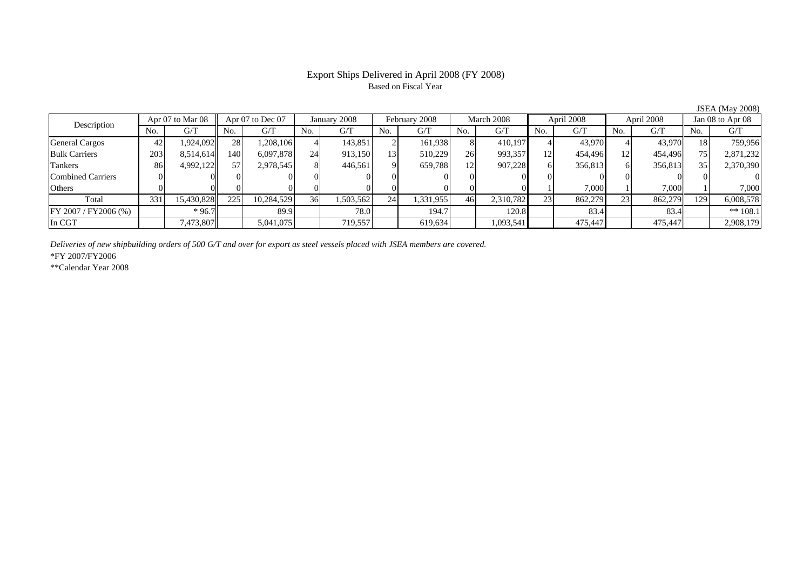## Based on Fiscal Year

No. I G/T II No. I G/T II No. I G/T II No. I G/T G/T II No. I G/T II No. I G/T II No. I G/T II No. I G/T II No  $G/T$ General Cargos | 42 | 1,924,092 || 28 | 1,208,106 | 4 | 143,851 | 2 | 161,938 | 8 | 410,197 | 4 | 43,970 | 41 | 43,970 | 18 | Bulk Carriers 203 8,514,614 140 6,097,878 24 913,150 13 510,229 26 993,357 12 454,496 12 454,496 75 2,871,232 Tankers | 86 4,992,122 57 2,978,545 8 446,561 9 659,788 12 907,228 6 356,813 6 356,813 35 2,370,390 Combined Carriers 0 0 0 0 0 0 0 0 0 0 0 0 0 0 0 0Others 0 0 0 0 0 0 0 0 0 0 1 7,000 1 7,000 1 7,000 Total 331 15,430,828 225 10,284,529 36 1,503,562 24 1,331,955 46 2,310,782 23 862,279 23 862,279 129 6,008,578 FY 2007 / FY 2006 (%) | \*96.7 | 89.9 | 78.0 | 194.7 | 120.8 | 83.4 | 83.4 | \*\* 108.1 In CGT | | 7,473,807 || | 5,041,075 | | 719,557 | | 619,634 | | 1,093,541 | | 475,447 | | 475,447 | | 2,908,179 January 2008 February 2008 Description Apr 07 to Mar 08 || Apr 07 to Dec 07 || January 2008 || February 2008 || March 2008 || April 2008 || April 2008 || Jan 08 to Apr 08

*Deliveries of new shipbuilding orders of 500 G/T and over for export as steel vessels placed with JSEA members are covered.*

\*FY 2007/FY2006

\*\*Calendar Year 2008

JSEA (May 2008)

# Export Ships Delivered in April 2008 (FY 2008)